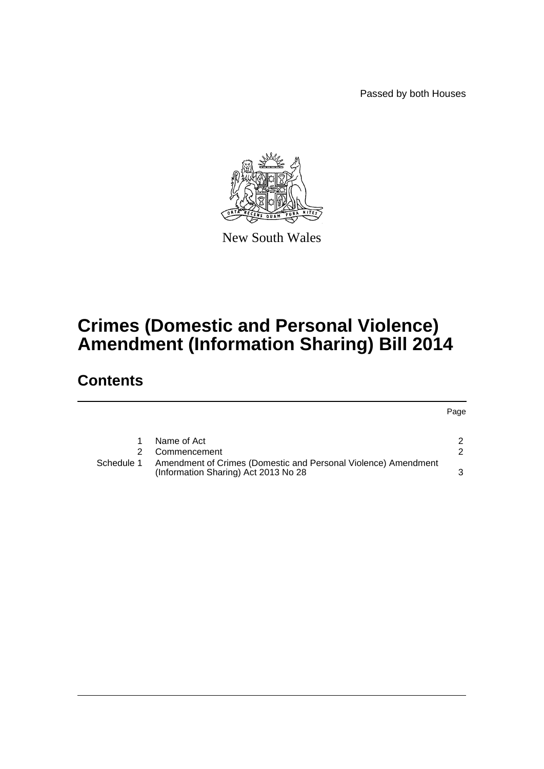Passed by both Houses

Page



New South Wales

## **Crimes (Domestic and Personal Violence) Amendment (Information Sharing) Bill 2014**

## **Contents**

|            | Name of Act                                                                                            |  |
|------------|--------------------------------------------------------------------------------------------------------|--|
|            | Commencement                                                                                           |  |
| Schedule 1 | Amendment of Crimes (Domestic and Personal Violence) Amendment<br>(Information Sharing) Act 2013 No 28 |  |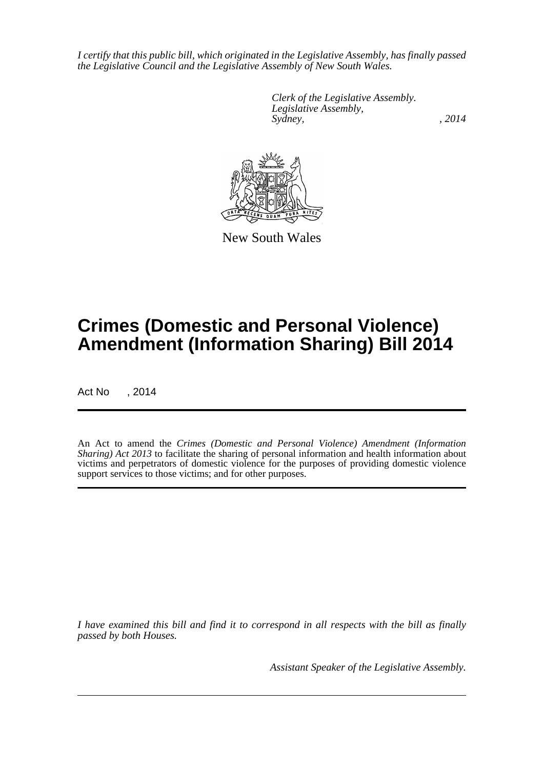*I certify that this public bill, which originated in the Legislative Assembly, has finally passed the Legislative Council and the Legislative Assembly of New South Wales.*

> *Clerk of the Legislative Assembly. Legislative Assembly, Sydney,* , 2014



New South Wales

# **Crimes (Domestic and Personal Violence) Amendment (Information Sharing) Bill 2014**

Act No , 2014

An Act to amend the *Crimes (Domestic and Personal Violence) Amendment (Information Sharing) Act 2013* to facilitate the sharing of personal information and health information about victims and perpetrators of domestic violence for the purposes of providing domestic violence support services to those victims; and for other purposes.

*I have examined this bill and find it to correspond in all respects with the bill as finally passed by both Houses.*

*Assistant Speaker of the Legislative Assembly.*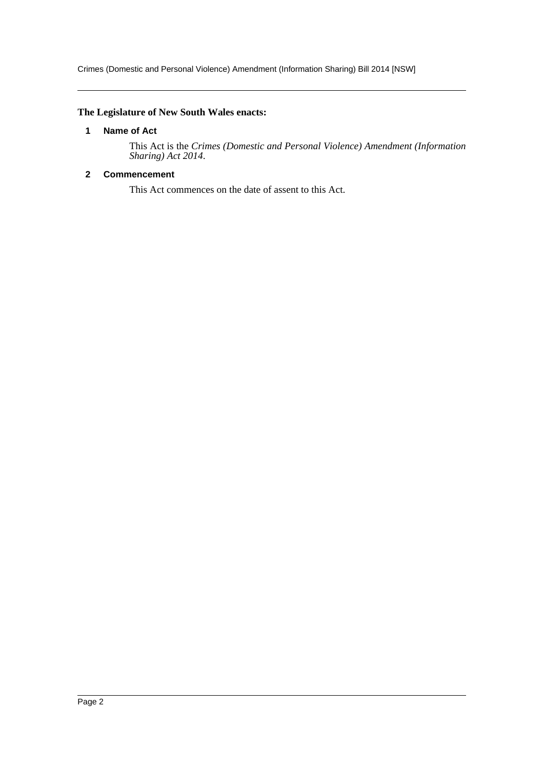Crimes (Domestic and Personal Violence) Amendment (Information Sharing) Bill 2014 [NSW]

#### <span id="page-2-0"></span>**The Legislature of New South Wales enacts:**

#### **1 Name of Act**

This Act is the *Crimes (Domestic and Personal Violence) Amendment (Information Sharing) Act 2014*.

#### <span id="page-2-1"></span>**2 Commencement**

This Act commences on the date of assent to this Act.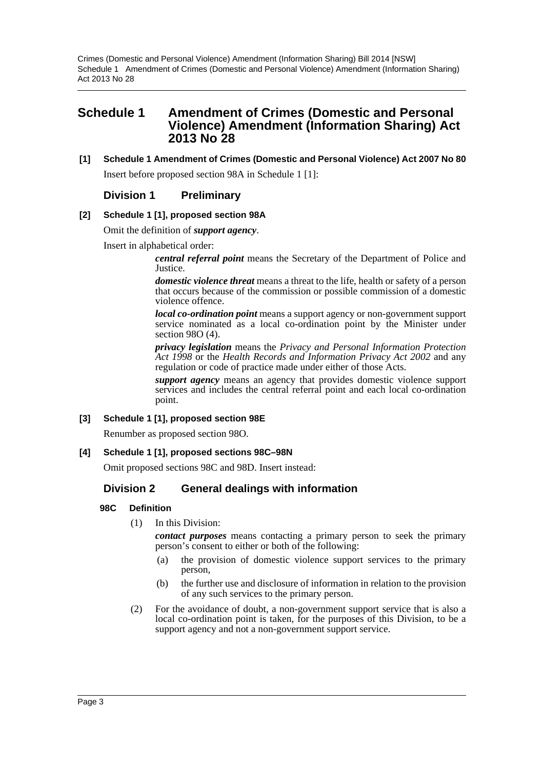## <span id="page-3-0"></span>**Schedule 1 Amendment of Crimes (Domestic and Personal Violence) Amendment (Information Sharing) Act 2013 No 28**

**[1] Schedule 1 Amendment of Crimes (Domestic and Personal Violence) Act 2007 No 80** Insert before proposed section 98A in Schedule 1 [1]:

### **Division 1 Preliminary**

#### **[2] Schedule 1 [1], proposed section 98A**

Omit the definition of *support agency*.

Insert in alphabetical order:

*central referral point* means the Secretary of the Department of Police and Justice.

*domestic violence threat* means a threat to the life, health or safety of a person that occurs because of the commission or possible commission of a domestic violence offence.

*local co-ordination point* means a support agency or non-government support service nominated as a local co-ordination point by the Minister under section 98O (4).

*privacy legislation* means the *Privacy and Personal Information Protection Act 1998* or the *Health Records and Information Privacy Act 2002* and any regulation or code of practice made under either of those Acts.

*support agency* means an agency that provides domestic violence support services and includes the central referral point and each local co-ordination point.

#### **[3] Schedule 1 [1], proposed section 98E**

Renumber as proposed section 98O.

#### **[4] Schedule 1 [1], proposed sections 98C–98N**

Omit proposed sections 98C and 98D. Insert instead:

### **Division 2 General dealings with information**

#### **98C Definition**

(1) In this Division:

*contact purposes* means contacting a primary person to seek the primary person's consent to either or both of the following:

- (a) the provision of domestic violence support services to the primary person,
- (b) the further use and disclosure of information in relation to the provision of any such services to the primary person.
- (2) For the avoidance of doubt, a non-government support service that is also a local co-ordination point is taken, for the purposes of this Division, to be a support agency and not a non-government support service.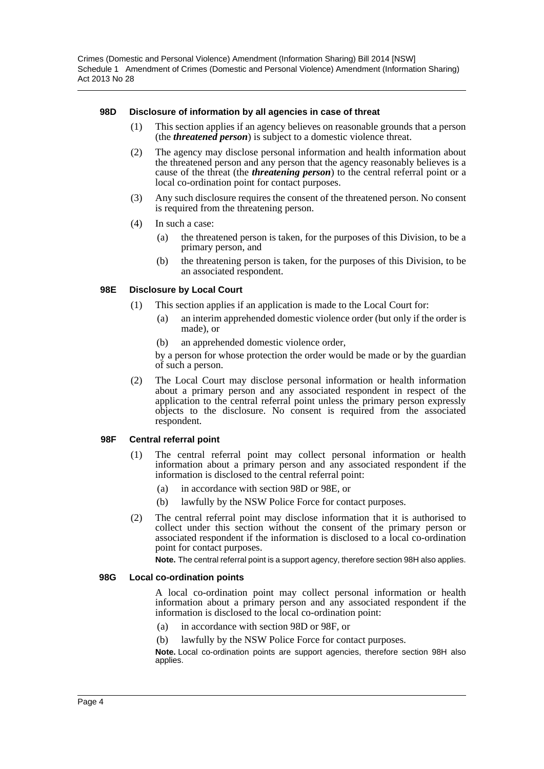Crimes (Domestic and Personal Violence) Amendment (Information Sharing) Bill 2014 [NSW] Schedule 1 Amendment of Crimes (Domestic and Personal Violence) Amendment (Information Sharing) Act 2013 No 28

#### **98D Disclosure of information by all agencies in case of threat**

- (1) This section applies if an agency believes on reasonable grounds that a person (the *threatened person*) is subject to a domestic violence threat.
- (2) The agency may disclose personal information and health information about the threatened person and any person that the agency reasonably believes is a cause of the threat (the *threatening person*) to the central referral point or a local co-ordination point for contact purposes.
- (3) Any such disclosure requires the consent of the threatened person. No consent is required from the threatening person.
- (4) In such a case:
	- (a) the threatened person is taken, for the purposes of this Division, to be a primary person, and
	- (b) the threatening person is taken, for the purposes of this Division, to be an associated respondent.

#### **98E Disclosure by Local Court**

- (1) This section applies if an application is made to the Local Court for:
	- (a) an interim apprehended domestic violence order (but only if the order is made), or
	- (b) an apprehended domestic violence order,

by a person for whose protection the order would be made or by the guardian of such a person.

(2) The Local Court may disclose personal information or health information about a primary person and any associated respondent in respect of the application to the central referral point unless the primary person expressly objects to the disclosure. No consent is required from the associated respondent.

#### **98F Central referral point**

- (1) The central referral point may collect personal information or health information about a primary person and any associated respondent if the information is disclosed to the central referral point:
	- (a) in accordance with section 98D or 98E, or
	- (b) lawfully by the NSW Police Force for contact purposes.
- (2) The central referral point may disclose information that it is authorised to collect under this section without the consent of the primary person or associated respondent if the information is disclosed to a local co-ordination point for contact purposes.

**Note.** The central referral point is a support agency, therefore section 98H also applies.

#### **98G Local co-ordination points**

A local co-ordination point may collect personal information or health information about a primary person and any associated respondent if the information is disclosed to the local co-ordination point:

- (a) in accordance with section 98D or 98F, or
- (b) lawfully by the NSW Police Force for contact purposes.

**Note.** Local co-ordination points are support agencies, therefore section 98H also applies.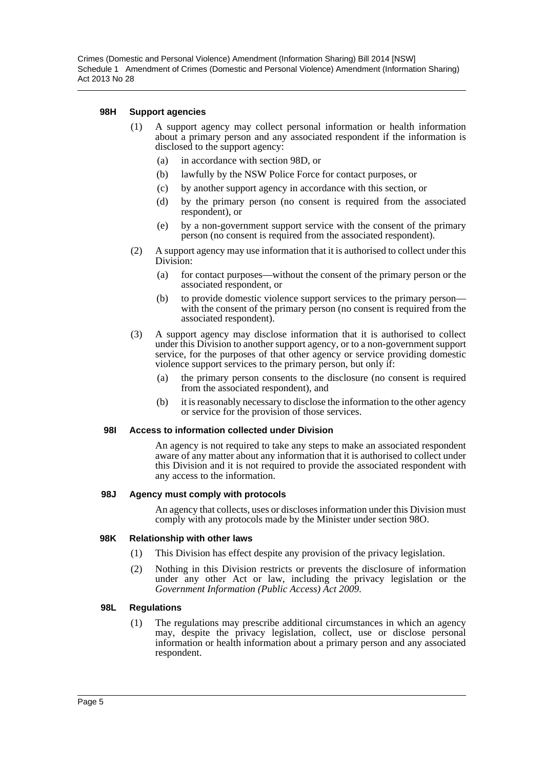#### **98H Support agencies**

- (1) A support agency may collect personal information or health information about a primary person and any associated respondent if the information is disclosed to the support agency:
	- (a) in accordance with section 98D, or
	- (b) lawfully by the NSW Police Force for contact purposes, or
	- (c) by another support agency in accordance with this section, or
	- (d) by the primary person (no consent is required from the associated respondent), or
	- (e) by a non-government support service with the consent of the primary person (no consent is required from the associated respondent).
- (2) A support agency may use information that it is authorised to collect under this Division:
	- (a) for contact purposes—without the consent of the primary person or the associated respondent, or
	- (b) to provide domestic violence support services to the primary person with the consent of the primary person (no consent is required from the associated respondent).
- (3) A support agency may disclose information that it is authorised to collect under this Division to another support agency, or to a non-government support service, for the purposes of that other agency or service providing domestic violence support services to the primary person, but only if:
	- (a) the primary person consents to the disclosure (no consent is required from the associated respondent), and
	- (b) it is reasonably necessary to disclose the information to the other agency or service for the provision of those services.

#### **98I Access to information collected under Division**

An agency is not required to take any steps to make an associated respondent aware of any matter about any information that it is authorised to collect under this Division and it is not required to provide the associated respondent with any access to the information.

#### **98J Agency must comply with protocols**

An agency that collects, uses or discloses information under this Division must comply with any protocols made by the Minister under section 98O.

#### **98K Relationship with other laws**

- (1) This Division has effect despite any provision of the privacy legislation.
- (2) Nothing in this Division restricts or prevents the disclosure of information under any other Act or law, including the privacy legislation or the *Government Information (Public Access) Act 2009*.

#### **98L Regulations**

(1) The regulations may prescribe additional circumstances in which an agency may, despite the privacy legislation, collect, use or disclose personal information or health information about a primary person and any associated respondent.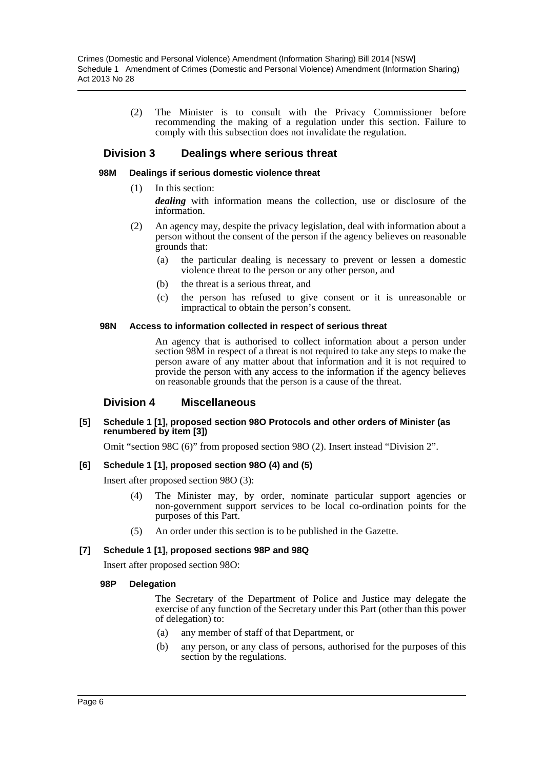(2) The Minister is to consult with the Privacy Commissioner before recommending the making of a regulation under this section. Failure to comply with this subsection does not invalidate the regulation.

#### **Division 3 Dealings where serious threat**

#### **98M Dealings if serious domestic violence threat**

- (1) In this section:
	- *dealing* with information means the collection, use or disclosure of the information.
- (2) An agency may, despite the privacy legislation, deal with information about a person without the consent of the person if the agency believes on reasonable grounds that:
	- (a) the particular dealing is necessary to prevent or lessen a domestic violence threat to the person or any other person, and
	- (b) the threat is a serious threat, and
	- (c) the person has refused to give consent or it is unreasonable or impractical to obtain the person's consent.

#### **98N Access to information collected in respect of serious threat**

An agency that is authorised to collect information about a person under section 98M in respect of a threat is not required to take any steps to make the person aware of any matter about that information and it is not required to provide the person with any access to the information if the agency believes on reasonable grounds that the person is a cause of the threat.

#### **Division 4 Miscellaneous**

#### **[5] Schedule 1 [1], proposed section 98O Protocols and other orders of Minister (as renumbered by item [3])**

Omit "section 98C (6)" from proposed section 98O (2). Insert instead "Division 2".

#### **[6] Schedule 1 [1], proposed section 98O (4) and (5)**

Insert after proposed section 98O (3):

- (4) The Minister may, by order, nominate particular support agencies or non-government support services to be local co-ordination points for the purposes of this Part.
- (5) An order under this section is to be published in the Gazette.

#### **[7] Schedule 1 [1], proposed sections 98P and 98Q**

Insert after proposed section 98O:

#### **98P Delegation**

The Secretary of the Department of Police and Justice may delegate the exercise of any function of the Secretary under this Part (other than this power of delegation) to:

- (a) any member of staff of that Department, or
- (b) any person, or any class of persons, authorised for the purposes of this section by the regulations.